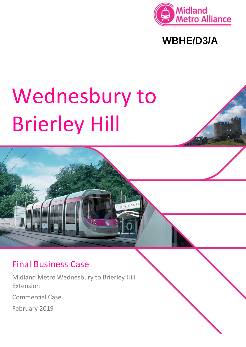

**WBHE/D3/A**

# Wednesbury to Brierley Hill



# Final Business Case

Midland Metro Wednesbury to Brierley Hill Extension Commercial Case February 2019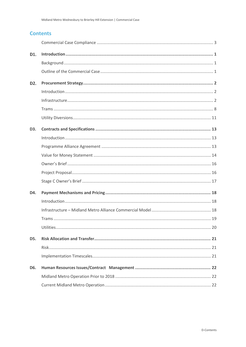# **Contents**

| D1.              |  |
|------------------|--|
|                  |  |
|                  |  |
| D <sub>2</sub> . |  |
|                  |  |
|                  |  |
|                  |  |
|                  |  |
| D <sub>3</sub> . |  |
|                  |  |
|                  |  |
|                  |  |
|                  |  |
|                  |  |
|                  |  |
| D4.              |  |
|                  |  |
|                  |  |
|                  |  |
|                  |  |
| D5.              |  |
|                  |  |
|                  |  |
| D6.              |  |
|                  |  |
|                  |  |
|                  |  |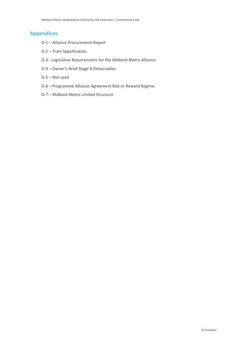# **Appendices**

- D-1 Alliance Procurement Report
- D-2 Tram Specification
- D-3 Legislative Requirements for the Midland Metro Alliance
- D-4 Owner's Brief Stage B Deliverables
- D-5 Not used
- D-6 Programme Alliance Agreement Risk or Reward Regime
- D-7 Midland Metro Limited Structure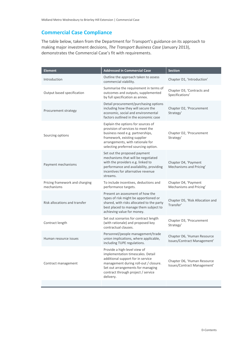# <span id="page-3-0"></span>**Commercial Case Compliance**

The table below, taken from the Department for Transport's guidance on its approach to making major investment decisions, *The Transport Business Case* (January 2013), demonstrates the Commercial Case's fit with requirements.

| <b>Element</b>                               | <b>Addressed in Commercial Case</b>                                                                                                                                                                                                     | <b>Section</b>                                             |  |
|----------------------------------------------|-----------------------------------------------------------------------------------------------------------------------------------------------------------------------------------------------------------------------------------------|------------------------------------------------------------|--|
| Introduction                                 | Outline the approach taken to assess<br>commercial viability.                                                                                                                                                                           | Chapter D1, 'Introduction'                                 |  |
| Output based specification                   | Summarise the requirement in terms of<br>outcomes and outputs, supplemented<br>by full specification as annex.                                                                                                                          | Chapter D3, 'Contracts and<br>Specifications'              |  |
| Procurement strategy                         | Detail procurement/purchasing options<br>including how they will secure the<br>economic, social and environmental<br>factors outlined in the economic case                                                                              | Chapter D2, 'Procurement<br>Strategy'                      |  |
| Sourcing options                             | Explain the options for sources of<br>provision of services to meet the<br>business need e.g. partnerships,<br>framework, existing supplier<br>arrangements, with rationale for<br>selecting preferred sourcing option.                 | Chapter D2, 'Procurement<br>Strategy'                      |  |
| Payment mechanisms                           | Set out the proposed payment<br>mechanisms that will be negotiated<br>with the providers e.g. linked to<br>performance and availability, providing<br>incentives for alternative revenue<br>streams.                                    | Chapter D4, 'Payment<br>Mechanisms and Pricing'            |  |
| Pricing framework and charging<br>mechanisms | To include incentives, deductions and<br>performance targets.                                                                                                                                                                           | Chapter D4, 'Payment<br>Mechanisms and Pricing'            |  |
| Risk allocations and transfer                | Present an assessment of how the<br>types of risk might be apportioned or<br>shared, with risks allocated to the party<br>best placed to manage them subject to<br>achieving value for money.                                           | Chapter D5, 'Risk Allocation and<br>Transfer'              |  |
| Contract length                              | Set out scenarios for contract length<br>(with rationale) and proposed key<br>contractual clauses.                                                                                                                                      | Chapter D3, 'Procurement<br>Strategy'                      |  |
| Human resource issues                        | Personnel/people management/trade<br>union implications, where applicable,<br>including TUPE regulations.                                                                                                                               | Chapter D6, 'Human Resource<br>Issues/Contract Management' |  |
| Contract management                          | Provide a high-level view of<br>implementation timescales. Detail<br>additional support for in service<br>management during roll-out / closure.<br>Set out arrangements for managing<br>contract through project / service<br>delivery. | Chapter D6, 'Human Resource<br>Issues/Contract Management' |  |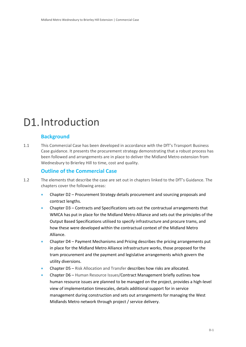# <span id="page-4-0"></span>D1. Introduction

# <span id="page-4-1"></span>**Background**

1.1 This Commercial Case has been developed in accordance with the DfT's Transport Business Case guidance. It presents the procurement strategy demonstrating that a robust process has been followed and arrangements are in place to deliver the Midland Metro extension from Wednesbury to Brierley Hill to time, cost and quality.

# <span id="page-4-2"></span>**Outline of the Commercial Case**

- 1.2 The elements that describe the case are set out in chapters linked to the DfT's Guidance. The chapters cover the following areas:
	- Chapter D2 Procurement Strategy details procurement and sourcing proposals and contract lengths.
	- Chapter D3 Contracts and Specifications sets out the contractual arrangements that WMCA has put in place for the Midland Metro Alliance and sets out the principles of the Output Based Specifications utilised to specify infrastructure and procure trams, and how these were developed within the contractual context of the Midland Metro Alliance.
	- Chapter D4 Payment Mechanisms and Pricing describes the pricing arrangements put in place for the Midland Metro Alliance infrastructure works, those proposed for the tram procurement and the payment and legislative arrangements which govern the utility diversions.
	- Chapter D5 Risk Allocation and Transfer describes how risks are allocated.
	- Chapter D6 Human Resource Issues/Contract Management briefly outlines how human resource issues are planned to be managed on the project, provides a high-level view of implementation timescales, details additional support for in service management during construction and sets out arrangements for managing the West Midlands Metro network through project / service delivery.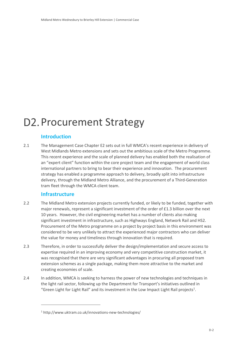# <span id="page-5-0"></span>D2. Procurement Strategy

# <span id="page-5-1"></span>**Introduction**

2.1 The Management Case Chapter E2 sets out in full WMCA's recent experience in delivery of West Midlands Metro extensions and sets out the ambitious scale of the Metro Programme. This recent experience and the scale of planned delivery has enabled both the realisation of an "expert client" function within the core project team and the engagement of world class international partners to bring to bear their experience and innovation. The procurement strategy has enabled a programme approach to delivery, broadly split into infrastructure delivery, through the Midland Metro Alliance, and the procurement of a Third-Generation tram fleet through the WMCA client team.

# <span id="page-5-2"></span>**Infrastructure**

 $\overline{a}$ 

- 2.2 The Midland Metro extension projects currently funded, or likely to be funded, together with major renewals, represent a significant investment of the order of £1.3 billion over the next 10 years. However, the civil engineering market has a number of clients also making significant investment in infrastructure, such as Highways England, Network Rail and HS2. Procurement of the Metro programme on a project by project basis in this environment was considered to be very unlikely to attract the experienced major contractors who can deliver the value for money and timeliness through innovation that is required.
- 2.3 Therefore, in order to successfully deliver the design/implementation and secure access to expertise required in an improving economy and very competitive construction market, it was recognised that there are very significant advantages in procuring all proposed tram extension schemes as a single package, making them more attractive to the market and creating economies of scale.
- 2.4 In addition, WMCA is seeking to harness the power of new technologies and techniques in the light rail sector, following up the Department for Transport's initiatives outlined in "Green Light for Light Rail" and its investment in the Low Impact Light Rail projects<sup>1</sup>.

<sup>1</sup> http://www.uktram.co.uk/innovations-new-technologies/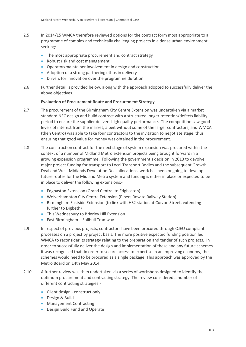- 2.5 In 2014/15 WMCA therefore reviewed options for the contract form most appropriate to a programme of complex and technically challenging projects in a dense urban environment, seeking:-
	- The most appropriate procurement and contract strategy
	- Robust risk and cost management
	- Operator/maintainer involvement in design and construction
	- Adoption of a strong partnering ethos in delivery
	- Drivers for innovation over the programme duration
- 2.6 Further detail is provided below, along with the approach adopted to successfully deliver the above objectives.

#### **Evaluation of Procurement Route and Procurement Strategy**

- 2.7 The procurement of the Birmingham City Centre Extension was undertaken via a market standard NEC design and build contract with a structured longer retention/defects liability period to ensure the supplier delivers high quality performance. The competition saw good levels of interest from the market, albeit without some of the larger contractors, and WMCA (then Centro) was able to take four contractors to the invitation to negotiate stage, thus ensuring that good value for money was obtained in the procurement.
- 2.8 The construction contract for the next stage of system expansion was procured within the context of a number of Midland Metro extension projects being brought forward in a growing expansion programme. Following the government's decision in 2013 to devolve major project funding for transport to Local Transport Bodies and the subsequent Growth Deal and West Midlands Devolution Deal allocations, work has been ongoing to develop future routes for the Midland Metro system and funding is either in place or expected to be in place to deliver the following extensions:-
	- Edgbaston Extension (Grand Central to Edgbaston)
	- Wolverhampton City Centre Extension (Pipers Row to Railway Station)
	- **Birmingham Eastside Extension (to link with HS2 station at Curzon Street, extending** further to Digbeth)
	- This Wednesbury to Brierley Hill Extension
	- East Birmingham Solihull Tramway
- 2.9 In respect of previous projects, contractors have been procured through OJEU compliant processes on a project by project basis. The more positive expected funding position led WMCA to reconsider its strategy relating to the preparation and tender of such projects. In order to successfully deliver the design and implementation of these and any future schemes it was recognised that, in order to secure access to expertise in an improving economy, the schemes would need to be procured as a single package. This approach was approved by the Metro Board on 14th May 2014.
- 2.10 A further review was then undertaken via a series of workshops designed to identify the optimum procurement and contracting strategy. The review considered a number of different contracting strategies:-
	- Client design construct only
	- Design & Build
	- Management Contracting
	- Design Build Fund and Operate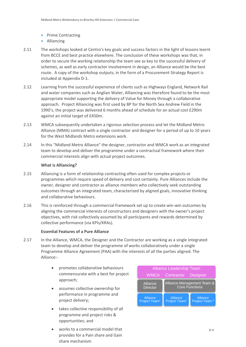- Prime Contracting
- Alliancing
- 2.11 The workshops looked at Centro's key goals and success factors in the light of lessons learnt from BCCE and best practice elsewhere. The conclusion of these workshops was that, in order to secure the working relationship the team see as key to the successful delivery of schemes, as well as early contractor involvement in design, an Alliance would be the best route. A copy of the workshop outputs, in the form of a Procurement Strategy Report is included at Appendix D-1.
- 2.12 Learning from the successful experience of clients such as Highways England, Network Rail and water companies such as Anglian Water, Alliancing was therefore found to be the most appropriate model supporting the delivery of Value for Money through a collaborative approach. Project Alliancing was first used by BP for the North Sea Andrew Field in the 1990's, the project was delivered 6 months ahead of schedule for an actual cost £290m against an initial target of £450m.
- 2.13 WMCA subsequently undertaken a rigorous selection process and let the Midland Metro Alliance (MMA) contract with a single contractor and designer for a period of up to 10 years for the West Midlands Metro extensions work.
- 2.14 In this "Midland Metro Alliance" the designer, contractor and WMCA work as an integrated team to develop and deliver the programme under a contractual framework where their commercial interests align with actual project outcomes.

#### **What is Alliancing?**

- 2.15 Alliancing is a form of relationship contracting often used for complex projects or programmes which require speed of delivery and cost certainty. Pure Alliances include the owner, designer and contractor as alliance members who collectively seek outstanding outcomes through an integrated team, characterized by aligned goals, innovative thinking and collaborative behaviours.
- 2.16 This is reinforced through a commercial framework set up to create win-win outcomes by aligning the commercial interests of constructors and designers with the owner's project objectives, with risk collectively assumed by all participants and rewards determined by collective performance (via KPIs/KRAs).

#### <span id="page-7-0"></span>**Essential Features of a Pure Alliance**

- 2.17 In the Alliance, WMCA, the Designer and the Contractor are working as a single integrated team to develop and deliver the programme of works collaboratively under a single Programme Alliance Agreement (PAA) with the interests of all the parties aligned. The Alliance:
	- promotes collaborative behaviours commensurate with a best for project approach;
	- assumes collective ownership for performance in programme and project delivery;
	- takes collective responsibility of all programme and project risks & opportunities; and
	- works to a commercial model that provides for a Pain share and Gain share mechanism

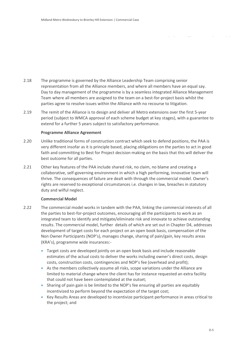- 2.18 The programme is governed by the Alliance Leadership Team comprising senior representation from all the Alliance members, and where all members have an equal say. Day to day management of the programme is by a seamless integrated Alliance Management Team where all members are assigned to the team on a best-for-project basis whilst the parties agree to resolve issues within the Alliance with no recourse to litigation.
- 2.19 The remit of the Alliance is to design and deliver all Metro extensions over the first 5-year period (subject to WMCA approval of each scheme budget at key stages), with a guarantee to extend for a further 5 years subject to satisfactory performance.

#### **Programme Alliance Agreement**

- 2.20 Unlike traditional forms of construction contract which seek to defend positions, the PAA is very different insofar as it is principle based, placing obligations on the parties to act in good faith and committing to Best for Project decision making on the basis that this will deliver the best outcome for all parties.
- 2.21 Other key features of the PAA include shared risk, no claim, no blame and creating a collaborative, self-governing environment in which a high performing, innovative team will thrive. The consequences of failure are dealt with through the commercial model. Owner's rights are reserved to exceptional circumstances i.e. changes in law, breaches in statutory duty and wilful neglect.

#### **Commercial Model**

- 2.22 The commercial model works in tandem with the PAA, linking the commercial interests of all the parties to best-for-project outcomes, encouraging all the participants to work as an integrated team to identify and mitigate/eliminate risk and innovate to achieve outstanding results. The commercial model, further details of which are set out in Chapter [D4,](#page-21-0) addresses development of target costs for each project on an open book basis, compensation of the Non Owner Participants (NOP's), manages change, sharing of pain/gain, key results areas (KRA's), programme wide insurances:-
	- Target costs are developed jointly on an open book basis and include reasonable estimates of the actual costs to deliver the works including owner's direct costs, design costs, construction costs, contingencies and NOP's fee (overhead and profit);
	- As the members collectively assume all risks, scope variations under the Alliance are limited to material change where the client has for instance requested an extra facility that could not have been contemplated at the outset;
	- Sharing of pain gain is be limited to the NOP's fee ensuring all parties are equitably incentivized to perform beyond the expectation of the target cost;
	- Key Results Areas are developed to incentivize participant performance in areas critical to the project; and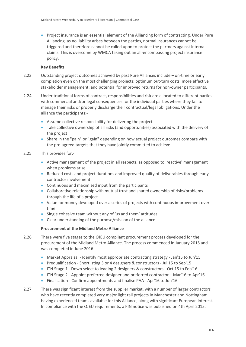Project insurance is an essential element of the Alliancing form of contracting. Under Pure Alliancing, as no liability arises between the parties, normal insurances cannot be triggered and therefore cannot be called upon to protect the partners against internal claims. This is overcome by WMCA taking out an all-encompassing project insurance policy.

#### **Key Benefits**

- 2.23 Outstanding project outcomes achieved by past Pure Alliances include on-time or early completion even on the most challenging projects; optimum out-turn costs; more effective stakeholder management; and potential for improved returns for non-owner participants.
- 2.24 Under traditional forms of contract, responsibilities and risk are allocated to different parties with commercial and/or legal consequences for the individual parties where they fail to manage their risks or properly discharge their contractual/legal obligations. Under the alliance the participants:-
	- Assume collective responsibility for delivering the project
	- Take collective ownership of all risks (and opportunities) associated with the delivery of the project
	- Share in the "pain" or "gain" depending on how actual project outcomes compare with the pre-agreed targets that they have jointly committed to achieve.
- 2.25 This provides for:-
	- Active management of the project in all respects, as opposed to 'reactive' management when problems arise
	- Reduced costs and project durations and improved quality of deliverables through early contractor involvement
	- Continuous and maximised input from the participants
	- Collaborative relationship with mutual trust and shared ownership of risks/problems through the life of a project
	- Value for money developed over a series of projects with continuous improvement over time
	- Single cohesive team without any of 'us and them' attitudes
	- Clear understanding of the purpose/mission of the alliance

#### **Procurement of the Midland Metro Alliance**

- 2.26 There were five stages to the OJEU compliant procurement process developed for the procurement of the Midland Metro Alliance. The process commenced in January 2015 and was completed in June 2016:
	- Market Appraisal Identify most appropriate contracting strategy Jan'15 to Jun'15
	- Prequalification Shortlisting 3 or 4 designers & constructors Jul'15 to Sep'15
	- ITN Stage 1 Down select to leading 2 designers & constructors Oct'15 to Feb'16
	- ITN Stage 2 Appoint preferred designer and preferred contractor Mar'16 to Apr'16
	- Finalisation Confirm appointments and finalise PAA Apr'16 to Jun'16
- 2.27 There was significant interest from the supplier market, with a number of larger contractors who have recently completed very major light rail projects in Manchester and Nottingham having experienced teams available for this Alliance, along with significant European interest. In compliance with the OJEU requirements, a PIN notice was published on 4th April 2015.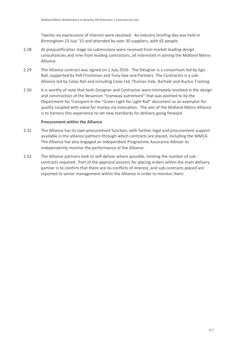Twenty-six expressions of interest were received. An industry briefing day was held in Birmingham 23 July '15 and attended by over 30 suppliers, with 65 people.

- 2.28 At prequalification stage six submissions were received from market leading design consultancies and nine from leading contractors, all interested in joining the Midland Metro Alliance.
- 2.29 The Alliance contract was signed on 1 July 2016. The Designer is a consortium led by Egis Rail, supported by Pell Frischman and Tony Gee and Partners. The Contractor is a sub-Alliance led by Colas Rail and including Colas Ltd, Thomas Vale, Barhale and Auctus Training.
- 2.30 It is worthy of note that both Designer and Contractor were intimately involved in the design and construction of the Besancon "tramway autremont" that was pointed to by the Department for Transport in the "Green Light for Light Rail" document as an exemplar for quality coupled with value for money via innovation. The aim of the Midland Metro Alliance is to harness this experience to set new standards for delivery going forward.

#### **Procurement within the Alliance**

- 2.31 The Alliance has its own procurement function, with further legal and procurement support available in the alliance partners through which contracts are placed, including the WMCA. The Alliance has also engaged an Independent Programme Assurance Adviser to independently monitor the performance of the Alliance.
- 2.32 The Alliance partners look to self-deliver where possible, limiting the number of subcontracts required. Part of the approval process for placing orders within the main delivery partner is to confirm that there are no conflicts of interest, and sub-contracts placed are reported to senior management within the Alliance in order to monitor them.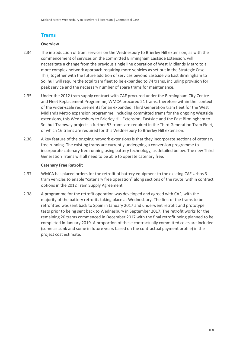# <span id="page-11-0"></span>**Trams**

#### **Overview**

- 2.34 The introduction of tram services on the Wednesbury to Brierley Hill extension, as with the commencement of services on the committed Birmingham Eastside Extension, will necessitate a change from the previous single line operation of West Midlands Metro to a more complex network approach requiring more vehicles as set out in the Strategic Case. This, together with the future addition of services beyond Eastside via East Birmingham to Solihull will require the total tram fleet to be expanded to 74 trams, including provision for peak service and the necessary number of spare trams for maintenance.
- 2.35 Under the 2012 tram supply contract with CAF procured under the Birmingham City Centre and Fleet Replacement Programme, WMCA procured 21 trams, therefore within the context of the wider-scale requirements for an expanded, Third Generation tram fleet for the West Midlands Metro expansion programme, including committed trams for the ongoing Westside extensions, this Wednesbury to Brierley Hill Extension, Eastside and the East Birmingham to Solihull Tramway projects a further 53 trams are required in the Third Generation Tram Fleet, of which 16 trams are required for this Wednesbury to Brierley Hill extension.
- 2.36 A key feature of the ongoing network extensions is that they incorporate sections of catenary free running. The existing trams are currently undergoing a conversion programme to incorporate catenary free running using battery technology, as detailed below. The new Third Generation Trams will all need to be able to operate catenary free.

#### **Catenary Free Retrofit**

- 2.37 WMCA has placed orders for the retrofit of battery equipment to the existing CAF Urbos 3 tram vehicles to enable "catenary free operation" along sections of the route, within contract options in the 2012 Tram Supply Agreement.
- 2.38 A programme for the retrofit operation was developed and agreed with CAF, with the majority of the battery retrofits taking place at Wednesbury. The first of the trams to be retrofitted was sent back to Spain in January 2017 and underwent retrofit and prototype tests prior to being sent back to Wednesbury in September 2017. The retrofit works for the remaining 20 trams commenced in December 2017 with the final retrofit being planned to be completed in January 2019. A proportion of these contractually committed costs are included (some as sunk and some in future years based on the contractual payment profile) in the project cost estimate.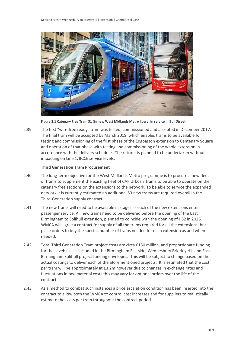

**Figure 2.1 Catenary Free Tram 31 (in new West Midlands Metro livery) in service in Bull Street**

2.39 The first "wire-free ready" tram was tested, commissioned and accepted in December 2017. The final tram will be accepted by March 2019, which enables trams to be available for testing and commissioning of the first phase of the Edgbaston extension to Centenary Square and operation of that phase with testing and commissioning of the whole extension in accordance with the delivery schedule. The retrofit is planned to be undertaken without impacting on Line 1/BCCE service levels.

#### **Third Generation Tram Procurement**

- 2.40 The long-term objective for the West Midlands Metro programme is to procure a new fleet of trams to supplement the existing fleet of CAF Urbos 3 trams to be able to operate on the catenary free sections on the extensions to the network. To be able to service the expanded network it is currently estimated an additional 53 new trams are required overall in the Third-Generation supply contract.
- 2.41 The new trams will need to be available in stages as each of the new extensions enter passenger service. All new trams need to be delivered before the opening of the East Birmingham to Solihull extension, planned to coincide with the opening of HS2 in 2026. WMCA will agree a contract for supply of all the trams required for all the extensions, but place orders to buy the specific number of trams needed for each extension as and when needed.
- 2.42 Total Third Generation Tram project costs are circa £160 million, and proportionate funding for these vehicles is included in the Birmingham Eastside, Wednesbury Brierley Hill and East Birmingham Solihull project funding envelopes. This will be subject to change based on the actual costings to deliver each of the aforementioned projects. It is estimated that the cost per tram will be approximately at £3.2m however due to changes in exchange rates and fluctuations in raw material costs this may vary for optional orders over the life of the contract.
- 2.43 As a method to combat such instances a price escalation condition has been inserted into the contract to allow both the WMCA to control cost increases and for suppliers to realistically estimate the costs per tram throughout the contract period.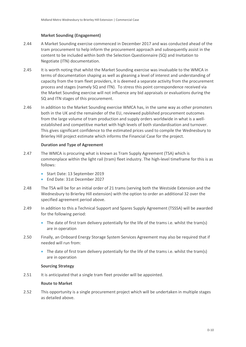#### **Market Sounding (Engagement)**

- 2.44 A Market Sounding exercise commenced in December 2017 and was conducted ahead of the tram procurement to help inform the procurement approach and subsequently assist in the content to be included within both the Selection Questionnaire (SQ) and Invitation to Negotiate (ITN) documentation.
- 2.45 It is worth noting that whilst the Market Sounding exercise was invaluable to the WMCA in terms of documentation shaping as well as gleaning a level of interest and understanding of capacity from the tram fleet providers, it is deemed a separate activity from the procurement process and stages (namely SQ and ITN). To stress this point correspondence received via the Market Sounding exercise will not influence any bid appraisals or evaluations during the SQ and ITN stages of this procurement.
- 2.46 In addition to the Market Sounding exercise WMCA has, in the same way as other promoters both in the UK and the remainder of the EU, reviewed published procurement outcomes from the large volume of tram production and supply orders worldwide in what is a wellestablished and competitive market with high levels of both standardisation and turnover. This gives significant confidence to the estimated prices used to compile the Wednesbury to Brierley Hill project estimate which informs the Financial Case for the project.

#### **Duration and Type of Agreement**

- 2.47 The WMCA is procuring what is known as Tram Supply Agreement (TSA) which is commonplace within the light rail (tram) fleet industry. The high-level timeframe for this is as follows:
	- Start Date: 13 September 2019
	- End Date: 31st December 2027
- 2.48 The TSA will be for an initial order of 21 trams (serving both the Westside Extension and the Wednesbury to Brierley Hill extension) with the option to order an additional 32 over the specified agreement period above.
- 2.49 In addition to this a Technical Support and Spares Supply Agreement (TSSSA) will be awarded for the following period:
	- The date of first tram delivery potentially for the life of the trams i.e. whilst the tram(s) are in operation
- 2.50 Finally, an Onboard Energy Storage System Services Agreement may also be required that if needed will run from:
	- The date of first tram delivery potentially for the life of the trams i.e. whilst the tram(s) are in operation

#### **Sourcing Strategy**

2.51 It is anticipated that a single tram fleet provider will be appointed.

#### **Route to Market**

2.52 This opportunity is a single procurement project which will be undertaken in multiple stages as detailed above.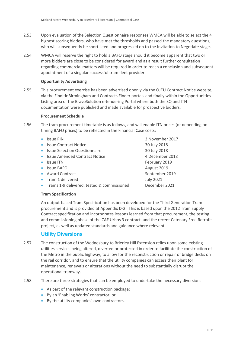- 2.53 Upon evaluation of the Selection Questionnaire responses WMCA will be able to select the 4 highest scoring bidders, who have met the thresholds and passed the mandatory questions, who will subsequently be shortlisted and progressed on to the Invitation to Negotiate stage.
- 2.54 WMCA will reserve the right to hold a BAFO stage should it become apparent that two or more bidders are close to be considered for award and as a result further consultation regarding commercial matters will be required in order to reach a conclusion and subsequent appointment of a singular successful tram fleet provider.

#### **Opportunity Advertising**

2.55 This procurement exercise has been advertised openly via the OJEU Contract Notice website, via the FinditinBirmingham and Contracts Finder portals and finally within the Opportunities Listing area of the BravoSolution e-tendering Portal where both the SQ and ITN documentation were published and made available for prospective bidders.

#### **Procurement Schedule**

- 2.56 The tram procurement timetable is as follows, and will enable ITN prices (or depending on timing BAFO prices) to be reflected in the Financial Case costs:
	-
	- Issue Contract Notice 30 July 2018
	- **Issue Selection Questionnaire** 30 July 2018
	- Issue Amended Contract Notice 4 December 2018
	-
	- Issue BAFO **August 2019**
	- Award Contract and September 2019
	- **Tram 1 delivered Contract Contract Contract Contract Contract Contract Contract Contract Contract Contract Contract Contract Contract Contract Contract Contract Contract Contract Contract Contract Contract Contract Contra**
	- Trams 1-9 delivered, tested & commissioned December 2021

**Issue PIN** 3 November 2017 • Issue ITN February 2019

#### **Tram Specification**

An output-based Tram Specification has been developed for the Third Generation Tram procurement and is provided at Appendix D-2. This is based upon the 2012 Tram Supply Contract specification and incorporates lessons learned from that procurement, the testing and commissioning phase of the CAF Urbos 3 contract, and the recent Catenary Free Retrofit project, as well as updated standards and guidance where relevant.

### <span id="page-14-1"></span><span id="page-14-0"></span>**Utility Diversions**

- 2.57 The construction of the Wednesbury to Brierley Hill Extension relies upon some existing utilities services being altered, diverted or protected in order to facilitate the construction of the Metro in the public highway, to allow for the reconstruction or repair of bridge decks on the rail corridor, and to ensure that the utility companies can access their plant for maintenance, renewals or alterations without the need to substantially disrupt the operational tramway.
- 2.58 There are three strategies that can be employed to undertake the necessary diversions:
	- As part of the relevant construction package;
	- By an 'Enabling Works' contractor; or
	- By the utility companies' own contractors.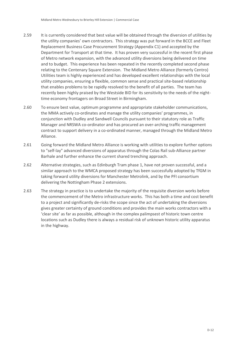- 2.59 It is currently considered that best value will be obtained through the diversion of utilities by the utility companies' own contractors. This strategy was put forward in the BCCE and Fleet Replacement Business Case Procurement Strategy (Appendix C1) and accepted by the Department for Transport at that time. It has proven very successful in the recent first phase of Metro network expansion, with the advanced utility diversions being delivered on time and to budget. This experience has been repeated in the recently completed second phase relating to the Centenary Square Extension. The Midland Metro Alliance (formerly Centro) Utilities team is highly experienced and has developed excellent relationships with the local utility companies, ensuring a flexible, common sense and practical site-based relationship that enables problems to be rapidly resolved to the benefit of all parties. The team has recently been highly praised by the Westside BID for its sensitivity to the needs of the nighttime economy frontagers on Broad Street in Birmingham.
- 2.60 To ensure best value, optimum programme and appropriate stakeholder communications, the MMA actively co-ordinates and manage the utility companies' programmes, in conjunction with Dudley and Sandwell Councils pursuant to their statutory role as Traffic Manager and NRSWA co-ordinator and has procured an over-arching traffic management contract to support delivery in a co-ordinated manner, managed through the Midland Metro Alliance.
- 2.61 Going forward the Midland Metro Alliance is working with utilities to explore further options to "self-lay" advanced diversions of apparatus through the Colas Rail sub-Alliance partner Barhale and further enhance the current shared trenching approach.
- 2.62 Alternative strategies, such as Edinburgh Tram phase 1, have not proven successful, and a similar approach to the WMCA proposed strategy has been successfully adopted by TfGM in taking forward utility diversions for Manchester Metrolink, and by the PFI consortium delivering the Nottingham Phase 2 extensions.
- 2.63 The strategy in practice is to undertake the majority of the requisite diversion works before the commencement of the Metro infrastructure works. This has both a time and cost benefit to a project and significantly de-risks the scope since the act of undertaking the diversions gives greater certainty of ground conditions and provides the main works contractors with a 'clear site' as far as possible, although in the complex palimpsest of historic town centre locations such as Dudley there is always a residual risk of unknown historic utility apparatus in the highway.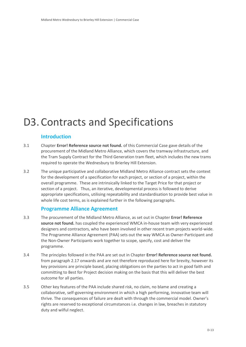# <span id="page-16-0"></span>D3. Contracts and Specifications

# <span id="page-16-1"></span>**Introduction**

- 3.1 Chapter **Error! Reference source not found.** of this Commercial Case gave details of the procurement of the Midland Metro Alliance, which covers the tramway infrastructure, and the Tram Supply Contract for the Third Generation tram fleet, which includes the new trams required to operate the Wednesbury to Brierley Hill Extension.
- 3.2 The unique participative and collaborative Midland Metro Alliance contract sets the context for the development of a specification for each project, or section of a project, within the overall programme. These are intrinsically linked to the Target Price for that project or section of a project. Thus, an iterative, developmental process is followed to derive appropriate specifications, utilising repeatability and standardisation to provide best value in whole life cost terms, as is explained further in the following paragraphs.

### <span id="page-16-2"></span>**Programme Alliance Agreement**

- 3.3 The procurement of the Midland Metro Alliance, as set out in Chapter **Error! Reference source not found.** has coupled the experienced WMCA in-house team with very experienced designers and contractors, who have been involved in other recent tram projects world-wide. The Programme Alliance Agreement (PAA) sets out the way WMCA as Owner-Participant and the Non-Owner Participants work together to scope, specify, cost and deliver the programme.
- 3.4 The principles followed in the PAA are set out in Chapter **Error! Reference source not found.** from paragraph [2.17](#page-7-0) onwards and are not therefore reproduced here for brevity, however its key provisions are principle based, placing obligations on the parties to act in good faith and committing to Best for Project decision making on the basis that this will deliver the best outcome for all parties.
- 3.5 Other key features of the PAA include shared risk, no claim, no blame and creating a collaborative, self-governing environment in which a high performing, innovative team will thrive. The consequences of failure are dealt with through the commercial model. Owner's rights are reserved to exceptional circumstances i.e. changes in law, breaches in statutory duty and wilful neglect.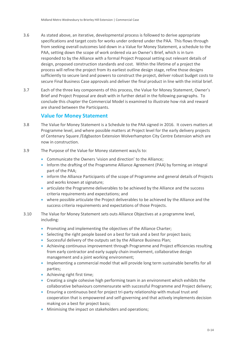- 3.6 As stated above, an iterative, developmental process is followed to derive appropriate specifications and target costs for works under ordered under the PAA. This flows through from seeking overall outcomes laid down in a Value for Money Statement, a schedule to the PAA, setting down the scope of work ordered via an Owner's Brief, which is in turn responded to by the Alliance with a formal Project Proposal setting out relevant details of design, proposed construction standards and cost. Within the lifetime of a project the process will refine the project from its earliest outline design stage, refine those designs sufficiently to secure land and powers to construct the project, deliver robust budget costs to secure Final Business Case approvals and deliver the final product in line with the initial brief.
- 3.7 Each of the three key components of this process, the Value for Money Statement, Owner's Brief and Project Proposal are dealt with in further detail in the following paragraphs. To conclude this chapter the Commercial Model is examined to illustrate how risk and reward are shared between the Participants.

### <span id="page-17-0"></span>**Value for Money Statement**

- 3.8 The Value for Money Statement is a Schedule to the PAA signed in 2016. It covers matters at Programme level, and where possible matters at Project level for the early delivery projects of Centenary Square /Edgbaston Extension Wolverhampton City Centre Extension which are now in construction.
- 3.9 The Purpose of the Value for Money statement was/is to:
	- Communicate the Owners 'vision and direction' to the Alliance;
	- Inform the drafting of the Programme Alliance Agreement (PAA) by forming an integral part of the PAA;
	- inform the Alliance Participants of the scope of Programme and general details of Projects and works known at signature;
	- articulate the Programme deliverables to be achieved by the Alliance and the success criteria requirements and expectations; and
	- where possible articulate the Project deliverables to be achieved by the Alliance and the success criteria requirements and expectations of those Projects.
- 3.10 The Value for Money Statement sets outs Alliance Objectives at a programme level, including:
	- Promoting and implementing the objectives of the Alliance Charter;
	- Selecting the right people based on a best for task and a best for project basis;
	- Successful delivery of the outputs set by the Alliance Business Plan;
	- Achieving continuous improvement through Programme and Project efficiencies resulting from early contractor and early supply chain involvement, collaborative design management and a joint working environment;
	- Implementing a commercial model that will provide long term sustainable benefits for all parties;
	- Achieving right first time;
	- Creating a single cohesive high performing team in an environment which exhibits the collaborative behaviours commensurate with successful Programme and Project delivery;
	- Ensuring a continuous best for project tri-party relationship with mutual trust and cooperation that is empowered and self-governing and that actively implements decision making on a best for project basis;
	- Minimising the impact on stakeholders and operations;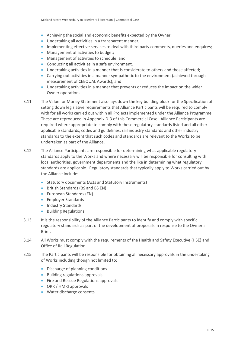- Achieving the social and economic benefits expected by the Owner;
- Undertaking all activities in a transparent manner;
- Implementing effective services to deal with third party comments, queries and enquires;
- Management of activities to budget:
- **•** Management of activities to schedule; and
- Conducting all activities in a safe environment.
- Undertaking activities in a manner that is considerate to others and those affected;
- Carrying out activities in a manner sympathetic to the environment (achieved through measurement of CEEQUAL Awards); and
- Undertaking activities in a manner that prevents or reduces the impact on the wider Owner operations.
- 3.11 The Value for Money Statement also lays down the key building block for the Specification of setting down legislative requirements that Alliance Participants will be required to comply with for all works carried out within all Projects implemented under the Alliance Programme. These are reproduced in Appendix D-3 of this Commercial Case. Alliance Participants are required where appropriate to comply with these regulatory standards listed and all other applicable standards, codes and guidelines, rail industry standards and other industry standards to the extent that such codes and standards are relevant to the Works to be undertaken as part of the Alliance.
- 3.12 The Alliance Participants are responsible for determining what applicable regulatory standards apply to the Works and where necessary will be responsible for consulting with local authorities, government departments and the like in determining what regulatory standards are applicable. Regulatory standards that typically apply to Works carried out by the Alliance include:
	- Statutory documents (Acts and Statutory Instruments)
	- British Standards (BS and BS EN)
	- European Standards (EN)
	- **Employer Standards**
	- Industry Standards
	- **•** Building Regulations
- 3.13 It is the responsibility of the Alliance Participants to identify and comply with specific regulatory standards as part of the development of proposals in response to the Owner's Brief.
- 3.14 All Works must comply with the requirements of the Health and Safety Executive (HSE) and Office of Rail Regulation.
- 3.15 The Participants will be responsible for obtaining all necessary approvals in the undertaking of Works including though not limited to:
	- Discharge of planning conditions
	- Building regulations approvals
	- Fire and Rescue Regulations approvals
	- ORR / HMRI approvals
	- Water discharge consents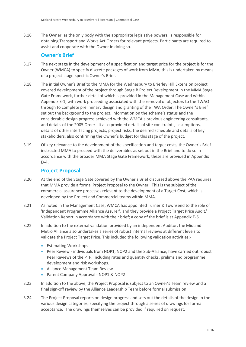3.16 The Owner, as the only body with the appropriate legislative powers, is responsible for obtaining Transport and Works Act Orders for relevant projects. Participants are required to assist and cooperate with the Owner in doing so.

# <span id="page-19-0"></span>**Owner's Brief**

- 3.17 The next stage in the development of a specification and target price for the project is for the Owner (WMCA) to specify discrete packages of work from MMA; this is undertaken by means of a project-stage-specific Owner's Brief.
- 3.18 The initial Owner's Brief to the MMA for the Wednesbury to Brierley Hill Extension project covered development of the project through Stage B Project Development in the MMA Stage Gate Framework, further detail of which is provided in the Management Case and within Appendix E-1, with work proceeding associated with the removal of objectors to the TWAO through to complete preliminary design and granting of the TWA Order. The Owner's Brief set out the background to the project, information on the scheme's status and the considerable design progress achieved with the WMCA's previous engineering consultants, and details of the 2005 Order. It also provided details of site constraints, assumptions, details of other interfacing projects, project risks, the desired schedule and details of key stakeholders, also confirming the Owner's budget for this stage of the project.
- 3.19 Of key relevance to the development of the specification and target costs, the Owner's Brief instructed MMA to proceed with the deliverables as set out in the Brief and to do so in accordance with the broader MMA Stage Gate Framework; these are provided in Appendix D-4.

# <span id="page-19-1"></span>**Project Proposal**

- 3.20 At the end of the Stage Gate covered by the Owner's Brief discussed above the PAA requires that MMA provide a formal Project Proposal to the Owner. This is the subject of the commercial assurance processes relevant to the development of a Target Cost, which is developed by the Project and Commercial teams within MMA.
- 3.21 As noted in the Management Case, WMCA has appointed Turner & Townsend to the role of 'Independent Programme Alliance Assurer', and they provide a Project Target Price Audit/ Validation Report in accordance with their brief; a copy of the brief is at Appendix E-6.
- 3.22 In addition to the external validation provided by an independent Auditor, the Midland Metro Alliance also undertakes a series of robust internal reviews at different levels to validate the Project Target Price. This included the following validation activities:-
	- **•** Estimating Workshops
	- Peer Review individuals from NOP1, NOP2 and the Sub-Alliance, have carried out robust Peer Reviews of the PTP. Including rates and quantity checks, prelims and programme development and risk workshops.
	- **Alliance Management Team Review**
	- Parent Company Approval NOP1 & NOP2
- 3.23 In addition to the above, the Project Proposal is subject to an Owner's Team review and a final sign-off review by the Alliance Leadership Team before formal submission.
- 3.24 The Project Proposal reports on design progress and sets out the details of the design in the various design categories, specifying the project through a series of drawings for formal acceptance. The drawings themselves can be provided if required on request.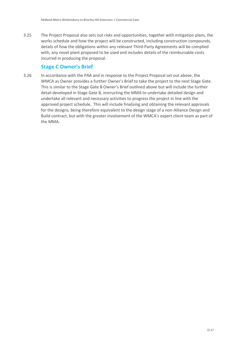3.25 The Project Proposal also sets out risks and opportunities, together with mitigation plans, the works schedule and how the project will be constructed, including construction compounds, details of how the obligations within any relevant Third-Party Agreements will be complied with, any novel plant proposed to be used and includes details of the reimbursable costs incurred in producing the proposal.

# <span id="page-20-0"></span>**Stage C Owner's Brief**

3.26 In accordance with the PAA and in response to the Project Proposal set out above, the WMCA as Owner provides a further Owner's Brief to take the project to the next Stage Gate. This is similar to the Stage Gate B Owner's Brief outlined above but will include the further detail developed in Stage Gate B, instructing the MMA to undertake detailed design and undertake all relevant and necessary activities to progress the project in line with the approved project schedule. This will include finalising and obtaining the relevant approvals for the designs, being therefore equivalent to the design stage of a non-Alliance Design and Build contract, but with the greater involvement of the WMCA's expert client team as part of the MMA.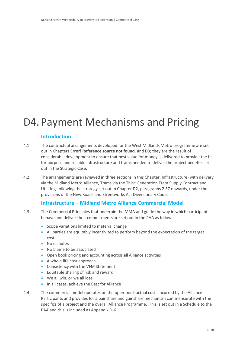# <span id="page-21-0"></span>D4. Payment Mechanisms and Pricing

## <span id="page-21-1"></span>**Introduction**

- 4.1 The contractual arrangements developed for the West Midlands Metro programme are set out in Chapters **Error! Reference source not found.** and [D3;](#page-16-0) they are the result of considerable development to ensure that best value for money is delivered to provide the fit for purpose and reliable infrastructure and trams needed to deliver the project benefits set out in the Strategic Case.
- 4.2 The arrangements are reviewed in three sections in this Chapter, Infrastructure (with delivery via the Midland Metro Alliance, Trams via the Third Generation Tram Supply Contract and Utilities, following the strategy set out in Chapter D2, paragraphs [2.57](#page-14-1) onwards, under the provisions of the New Roads and Streetworks Act Diversionary Code.

### <span id="page-21-2"></span>**Infrastructure – Midland Metro Alliance Commercial Model**

- 4.3 The Commercial Principles that underpin the MMA and guide the way in which participants behave and deliver their commitments are set out in the PAA as follows:-
	- Scope variations limited to material change
	- All parties are equitably incentivized to perform beyond the expectation of the target cost;
	- No disputes
	- No blame to be associated
	- Open book pricing and accounting across all Alliance activities
	- A whole life cost approach
	- Consistency with the VFM Statement
	- **Equitable sharing of risk and reward**
	- We all win, or we all lose
	- In all cases, achieve the Best for Alliance
- 4.4 The commercial model operates on the open-book actual costs incurred by the Alliance Participants and provides for a painshare and gainshare mechanism commensurate with the specifics of a project and the overall Alliance Programme. This is set out in a Schedule to the PAA and this is included as Appendix D-6.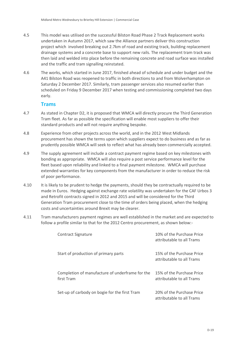- 4.5 This model was utilised on the successful Bilston Road Phase 2 Track Replacement works undertaken in Autumn 2017, which saw the Alliance partners deliver this construction project which involved breaking out 2.7km of road and existing track, building replacement drainage systems and a concrete base to support new rails. The replacement tram track was then laid and welded into place before the remaining concrete and road surface was installed and the traffic and tram signalling reinstated.
- 4.6 The works, which started in June 2017, finished ahead of schedule and under budget and the A41 Bilston Road was reopened to traffic in both directions to and from Wolverhampton on Saturday 2 December 2017. Similarly, tram passenger services also resumed earlier than scheduled on Friday 9 December 2017 when testing and commissioning completed two days early.

### <span id="page-22-0"></span>**Trams**

- 4.7 As stated in Chapter D2, it is proposed that WMCA will directly procure the Third Generation Tram fleet. As far as possible the specification will enable most suppliers to offer their standard products and will not require anything bespoke.
- 4.8 Experience from other projects across the world, and in the 2012 West Midlands procurement has shown the terms upon which suppliers expect to do business and as far as prudently possible WMCA will seek to reflect what has already been commercially accepted.
- 4.9 The supply agreement will include a contract payment regime based on key milestones with bonding as appropriate. WMCA will also require a post service performance level for the fleet based upon reliability and linked to a final payment milestone. WMCA will purchase extended warranties for key components from the manufacturer in order to reduce the risk of poor performance.
- 4.10 It is likely to be prudent to hedge the payments, should they be contractually required to be made in Euros. Hedging against exchange rate volatility was undertaken for the CAF Urbos 3 and Retrofit contracts signed in 2012 and 2015 and will be considered for the Third Generation Tram procurement close to the time of orders being placed, when the hedging costs and uncertainties around Brexit may be clearer.
- 4.11 Tram manufacturers payment regimes are well established in the market and are expected to follow a profile similar to that for the 2012 Centro procurement, as shown below:-

| Contract Signature                                            | 10% of the Purchase Price<br>attributable to all Trams |
|---------------------------------------------------------------|--------------------------------------------------------|
| Start of production of primary parts                          | 15% of the Purchase Price<br>attributable to all Trams |
| Completion of manufacture of underframe for the<br>first Tram | 15% of the Purchase Price<br>attributable to all Trams |
| Set-up of carbody on bogie for the first Tram                 | 20% of the Purchase Price<br>attributable to all Trams |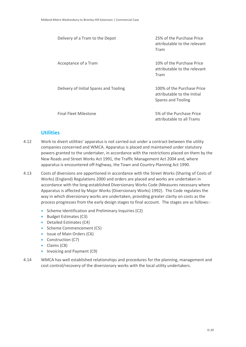| Delivery of a Tram to the Depot        | 25% of the Purchase Price<br>attributable to the relevant<br>Tram               |
|----------------------------------------|---------------------------------------------------------------------------------|
| Acceptance of a Tram                   | 10% of the Purchase Price<br>attributable to the relevant<br>Tram               |
| Delivery of Initial Spares and Tooling | 100% of the Purchase Price<br>attributable to the Initial<br>Spares and Tooling |
| <b>Final Fleet Milestone</b>           | 5% of the Purchase Price<br>attributable to all Trams                           |

### <span id="page-23-0"></span>**Utilities**

- 4.12 Work to divert utilities' apparatus is not carried out under a contract between the utility companies concerned and WMCA. Apparatus is placed and maintained under statutory powers granted to the undertaker, in accordance with the restrictions placed on them by the New Roads and Street Works Act 1991, the Traffic Management Act 2004 and, where apparatus is encountered off-highway, the Town and Country Planning Act 1990.
- 4.13 Costs of diversions are apportioned in accordance with the Street Works (Sharing of Costs of Works) (England) Regulations 2000 and orders are placed and works are undertaken in accordance with the long-established Diversionary Works Code (Measures necessary where Apparatus is affected by Major Works (Diversionary Works) 1992). The Code regulates the way in which diversionary works are undertaken, providing greater clarity on costs as the process progresses from the early design stages to final account. The stages are as follows:-
	- Scheme Identification and Preliminary Inquiries (C2)
	- Budget Estimates (C3)
	- Detailed Estimates (C4)
	- Scheme Commencement (C5)
	- Issue of Main Orders (C6)
	- Construction (C7)
	- Claims (C8)
	- Invoicing and Payment (C9)
- 4.14 WMCA has well established relationships and procedures for the planning, management and cost control/recovery of the diversionary works with the local utility undertakers.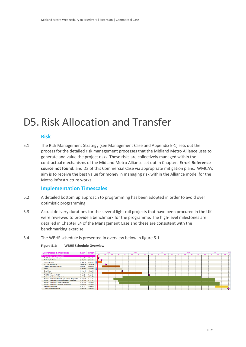# <span id="page-24-0"></span>D5. Risk Allocation and Transfer

### <span id="page-24-1"></span>**Risk**

5.1 The Risk Management Strategy (see Management Case and Appendix E-1) sets out the process for the detailed risk management processes that the Midland Metro Alliance uses to generate and value the project risks. These risks are collectively managed within the contractual mechanisms of the Midland Metro Alliance set out in Chapters **Error! Reference source not found.** and [D3](#page-16-0) of this Commercial Case via appropriate mitigation plans. WMCA's aim is to receive the best value for money in managing risk within the Alliance model for the Metro infrastructure works.

#### <span id="page-24-2"></span>**Implementation Timescales**

- 5.2 A detailed bottom up approach to programming has been adopted in order to avoid over optimistic programming.
- 5.3 Actual delivery durations for the several light rail projects that have been procured in the UK were reviewed to provide a benchmark for the programme. The high-level milestones are detailed in Chapter E4 of the Management Case and these are consistent with the benchmarking exercise.
- 5.4 The WBHE schedule is presented in overview below in figure 5.1.



#### **Figure 5.1: WBHE Schedule Overview**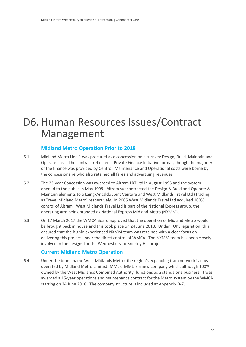# <span id="page-25-0"></span>D6.Human Resources Issues/Contract Management

# <span id="page-25-1"></span>**Midland Metro Operation Prior to 2018**

- 6.1 Midland Metro Line 1 was procured as a concession on a turnkey Design, Build, Maintain and Operate basis. The contract reflected a Private Finance Initiative format, though the majority of the finance was provided by Centro. Maintenance and Operational costs were borne by the concessionaire who also retained all fares and advertising revenues.
- 6.2 The 23-year Concession was awarded to Altram LRT Ltd in August 1995 and the system opened to the public in May 1999. Altram subcontracted the Design & Build and Operate & Maintain elements to a Laing/Ansaldo Joint Venture and West Midlands Travel Ltd (Trading as Travel Midland Metro) respectively. In 2005 West Midlands Travel Ltd acquired 100% control of Altram. West Midlands Travel Ltd is part of the National Express group, the operating arm being branded as National Express Midland Metro (NXMM).
- 6.3 On 17 March 2017 the WMCA Board approved that the operation of Midland Metro would be brought back in house and this took place on 24 June 2018. Under TUPE legislation, this ensured that the highly-experienced NXMM team was retained with a clear focus on delivering this project under the direct control of WMCA. The NXMM team has been closely involved in the designs for the Wednesbury to Brierley Hill project.

# <span id="page-25-2"></span>**Current Midland Metro Operation**

6.4 Under the brand name West Midlands Metro, the region's expanding tram network is now operated by Midland Metro Limited (MML). MML is a new company which, although 100% owned by the West Midlands Combined Authority, functions as a standalone business. It was awarded a 15-year operations and maintenance contract for the Metro system by the WMCA starting on 24 June 2018. The company structure is included at Appendix D-7.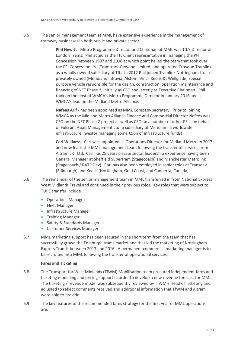6.5 The senior management team at MML have extensive experience in the management of tramway businesses in both public and private sector:-

> **Phil Hewitt** - Metro Programme Director and Chairman of MML was TfL's Director of London Trams. Phil acted as the TfL Client representative in managing the PFI Concession between 1997 and 2008 at which point he led the team that took over the PFI Concessionaire (Tramtrack Croydon Limited) and operated Croydon Tramlink as a wholly owned subsidiary of TfL. In 2012 Phil joined Tramlink Nottingham Ltd, a privately owned (Meridiam, Infravia, Alstom, Vinci, Keolis &, Wellglade) special purpose vehicle responsible for the design, construction, operation maintenance and financing of NET Phase 2, initially as CEO and latterly as Executive Chairman. Phil took on the post of WMCA's Metro Programme Director in January 2016 and is WMCA's lead on the Midland Metro Alliance.

**Nafees Arif** - has been appointed as MML Company secretary. Prior to joining WMCA as the Midland Metro Alliance Finance and Commercial Director Nafees was CFO on the NET Phase 2 project as well as CFO on a number of other PFI's on behalf of Fulcrum Asset Management Ltd (a subsidiary of Meridiam, a worldwide infrastructure investor managing some €5bn of infrastructure funds)

**Carl Williams** - Carl was appointed as Operations Director for Midland Metro in 2017 and now leads the MML management team following the transfer of services from Altram LRT Ltd. Carl has 25 years private sector leadership experience having been General Manager at Sheffield Supertram (Stagecoach) and Manchester Metrolink (Stagecoach / RATP Dev). Carl has also been employed in senior roles at Transdev (Edinburgh) and Keolis (Nottingham, Gold Coast, and Canberra, Canada)

- 6.6 The remainder of the senior management team in MML transferred in from National Express West Midlands Travel and continued in their previous roles. Key roles that were subject to TUPE transfer include
	- Operations Manager
	- **•** Fleet Manager
	- **•** Infrastructure Manager
	- **•** Training Manager
	- Safety & Standards Manager
	- Customer Services Manager
- 6.7 MML marketing support has been secured in the short term from the team that has successfully grown the Edinburgh trams market and that led the marketing of Nottingham Express Transit between 2013 and 2016. A permanent commercial marketing manager is to be recruited into MML following the transfer of operational services.

#### **Fares and Ticketing**

- 6.8 The Transport for West Midlands (TfWM) Mobilisation team procured independent fares and ticketing modelling and pricing support in order to develop a new revenue forecast for MML. The ticketing / revenue model was subsequently reviewed by TfWM's Head of Ticketing and adjusted to reflect comments received and additional information that TfWM and Altram were able to provide.
- 6.9 The key features of the recommended fares strategy for the first year of MML operations are: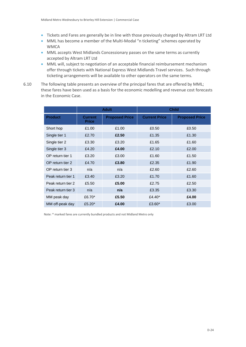- Tickets and Fares are generally be in line with those previously charged by Altram LRT Ltd
- MML has become a member of the Multi-Modal "n ticketing" schemes operated by **WMCA**
- MML accepts West Midlands Concessionary passes on the same terms as currently accepted by Altram LRT Ltd
- MML will, subject to negotiation of an acceptable financial reimbursement mechanism offer through tickets with National Express West Midlands Travel services. Such through ticketing arrangements will be available to other operators on the same terms.
- 6.10 The following table presents an overview of the principal fares that are offered by MML; these fares have been used as a basis for the economic modelling and revenue cost forecasts in the Economic Case.

|                    |                                | <b>Adult</b>          | <b>Child</b>         |                       |
|--------------------|--------------------------------|-----------------------|----------------------|-----------------------|
| <b>Product</b>     | <b>Current</b><br><b>Price</b> | <b>Proposed Price</b> | <b>Current Price</b> | <b>Proposed Price</b> |
| Short hop          | £1.00                          | £1.00                 | £0.50                | £0.50                 |
| Single tier 1      | £2.70                          | £2.50                 | £1.35                | £1.30                 |
| Single tier 2      | £3.30                          | £3.20                 | £1.65                | £1.60                 |
| Single tier 3      | £4.20                          | £4.00                 | £2.10                | £2.00                 |
| OP return tier 1   | £3.20                          | £3.00                 | £1.60                | £1.50                 |
| OP return tier 2   | £4.70                          | £3.80                 | £2.35                | £1.90                 |
| OP return tier 3   | n/a                            | n/a                   | £2.60                | £2.60                 |
| Peak return tier 1 | £3.40                          | £3.20                 | £1.70                | £1.60                 |
| Peak return tier 2 | £5.50                          | £5.00                 | £2.75                | £2.50                 |
| Peak return tier 3 | n/a                            | n/a                   | £3.35                | £3.30                 |
| MM peak day        | £6.70 $*$                      | £5.50                 | £4.40 $*$            | £4.00                 |
| MM off-peak day    | £5.20 $*$                      | £4.00                 | £3.60*               | £3.00                 |

Note: \* marked fares are currently bundled products and not Midland Metro only